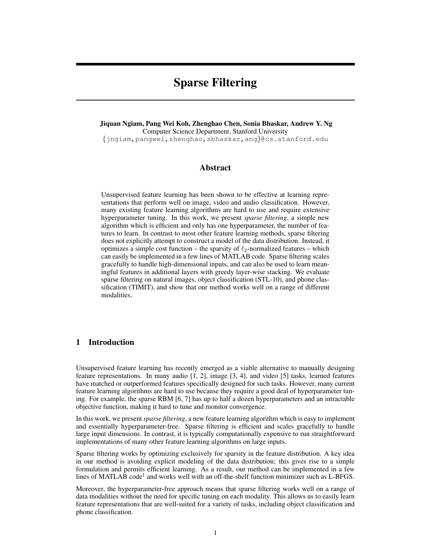# Sparse Filtering

Jiquan Ngiam, Pang Wei Koh, Zhenghao Chen, Sonia Bhaskar, Andrew Y. Ng Computer Science Department, Stanford University {jngiam,pangwei,zhenghao,sbhaskar,ang}@cs.stanford.edu

# Abstract

Unsupervised feature learning has been shown to be effective at learning representations that perform well on image, video and audio classification. However, many existing feature learning algorithms are hard to use and require extensive hyperparameter tuning. In this work, we present *sparse filtering*, a simple new algorithm which is efficient and only has one hyperparameter, the number of features to learn. In contrast to most other feature learning methods, sparse filtering does not explicitly attempt to construct a model of the data distribution. Instead, it optimizes a simple cost function – the sparsity of  $\ell_2$ -normalized features – which can easily be implemented in a few lines of MATLAB code. Sparse filtering scales gracefully to handle high-dimensional inputs, and can also be used to learn meaningful features in additional layers with greedy layer-wise stacking. We evaluate sparse filtering on natural images, object classification (STL-10), and phone classification (TIMIT), and show that our method works well on a range of different modalities.

# 1 Introduction

Unsupervised feature learning has recently emerged as a viable alternative to manually designing feature representations. In many audio [1, 2], image [3, 4], and video [5] tasks, learned features have matched or outperformed features specifically designed for such tasks. However, many current feature learning algorithms are hard to use because they require a good deal of hyperparameter tuning. For example, the sparse RBM [6, 7] has up to half a dozen hyperparameters and an intractable objective function, making it hard to tune and monitor convergence.

In this work, we present*sparse filtering*, a new feature learning algorithm which is easy to implement and essentially hyperparameter-free. Sparse filtering is efficient and scales gracefully to handle large input dimensions. In contrast, it is typically computationally expensive to run straightforward implementations of many other feature learning algorithms on large inputs.

Sparse filtering works by optimizing exclusively for sparsity in the feature distribution. A key idea in our method is avoiding explicit modeling of the data distribution; this gives rise to a simple formulation and permits efficient learning. As a result, our method can be implemented in a few lines of MATLAB code<sup>1</sup> and works well with an off-the-shelf function minimizer such as L-BFGS.

Moreover, the hyperparameter-free approach means that sparse filtering works well on a range of data modalities without the need for specific tuning on each modality. This allows us to easily learn feature representations that are well-suited for a variety of tasks, including object classification and phone classification.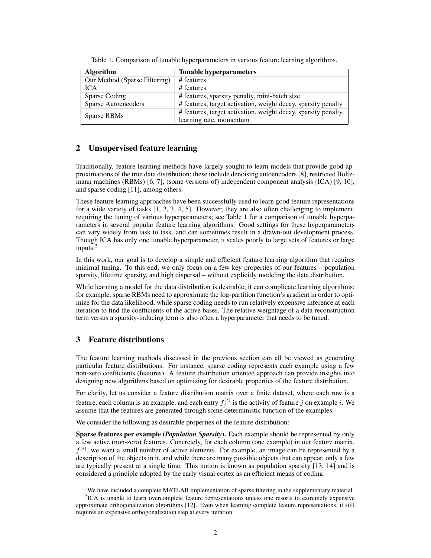| <b>Algorithm</b>              | <b>Tunable hyperparameters</b>                                 |  |
|-------------------------------|----------------------------------------------------------------|--|
| Our Method (Sparse Filtering) | # features                                                     |  |
| <b>ICA</b>                    | # features                                                     |  |
| Sparse Coding                 | # features, sparsity penalty, mini-batch size                  |  |
| Sparse Autoencoders           | # features, target activation, weight decay, sparsity penalty  |  |
| Sparse RBMs                   | # features, target activation, weight decay, sparsity penalty, |  |
|                               | learning rate, momentum                                        |  |

Table 1. Comparison of tunable hyperparameters in various feature learning algorithms.

# 2 Unsupervised feature learning

Traditionally, feature learning methods have largely sought to learn models that provide good approximations of the true data distribution; these include denoising autoencoders [8], restricted Boltzmann machines (RBMs) [6, 7], (some versions of) independent component analysis (ICA) [9, 10], and sparse coding [11], among others.

These feature learning approaches have been successfully used to learn good feature representations for a wide variety of tasks [1, 2, 3, 4, 5]. However, they are also often challenging to implement, requiring the tuning of various hyperparameters; see Table 1 for a comparison of tunable hyperparameters in several popular feature learning algorithms. Good settings for these hyperparameters can vary widely from task to task, and can sometimes result in a drawn-out development process. Though ICA has only one tunable hyperparameter, it scales poorly to large sets of features or large inputs. $<sup>2</sup>$ </sup>

In this work, our goal is to develop a simple and efficient feature learning algorithm that requires minimal tuning. To this end, we only focus on a few key properties of our features – population sparsity, lifetime sparsity, and high dispersal – without explicitly modeling the data distribution.

While learning a model for the data distribution is desirable, it can complicate learning algorithms: for example, sparse RBMs need to approximate the log-partition function's gradient in order to optimize for the data likelihood, while sparse coding needs to run relatively expensive inference at each iteration to find the coefficients of the active bases. The relative weightage of a data reconstruction term versus a sparsity-inducing term is also often a hyperparameter that needs to be tuned.

# 3 Feature distributions

The feature learning methods discussed in the previous section can all be viewed as generating particular feature distributions. For instance, sparse coding represents each example using a few non-zero coefficients (features). A feature distribution oriented approach can provide insights into designing new algorithms based on optimizing for desirable properties of the feature distribution.

For clarity, let us consider a feature distribution matrix over a finite dataset, where each row is a feature, each column is an example, and each entry  $f_j^{(i)}$  is the activity of feature j on example i. We assume that the features are generated through some deterministic function of the examples.

We consider the following as desirable properties of the feature distribution:

Sparse features per example (*Population Sparsity*). Each example should be represented by only a few active (non-zero) features. Concretely, for each column (one example) in our feature matrix,  $f^{(i)}$ , we want a small number of active elements. For example, an image can be represented by a description of the objects in it, and while there are many possible objects that can appear, only a few are typically present at a single time. This notion is known as population sparsity [13, 14] and is considered a principle adopted by the early visual cortex as an efficient means of coding.

<sup>&</sup>lt;sup>1</sup>We have included a complete MATLAB implementation of sparse filtering in the supplementary material.

<sup>&</sup>lt;sup>2</sup>ICA is unable to learn overcomplete feature representations unless one resorts to extremely expensive approximate orthogonalization algorithms [12]. Even when learning complete feature representations, it still requires an expensive orthogonalization step at every iteration.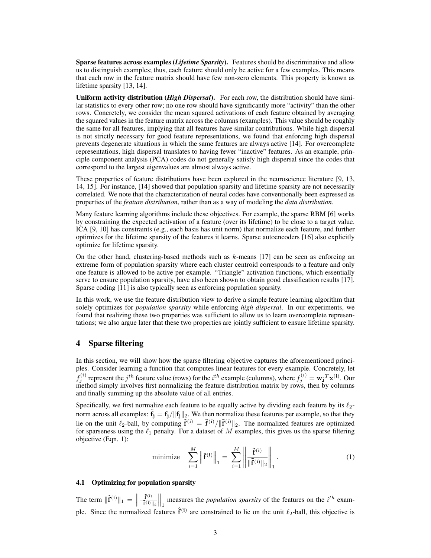Sparse features across examples (*Lifetime Sparsity*). Features should be discriminative and allow us to distinguish examples; thus, each feature should only be active for a few examples. This means that each row in the feature matrix should have few non-zero elements. This property is known as lifetime sparsity [13, 14].

Uniform activity distribution (*High Dispersal*). For each row, the distribution should have similar statistics to every other row; no one row should have significantly more "activity" than the other rows. Concretely, we consider the mean squared activations of each feature obtained by averaging the squared values in the feature matrix across the columns (examples). This value should be roughly the same for all features, implying that all features have similar contributions. While high dispersal is not strictly necessary for good feature representations, we found that enforcing high dispersal prevents degenerate situations in which the same features are always active [14]. For overcomplete representations, high dispersal translates to having fewer "inactive" features. As an example, principle component analysis (PCA) codes do not generally satisfy high dispersal since the codes that correspond to the largest eigenvalues are almost always active.

These properties of feature distributions have been explored in the neuroscience literature [9, 13, 14, 15]. For instance, [14] showed that population sparsity and lifetime sparsity are not necessarily correlated. We note that the characterization of neural codes have conventionally been expressed as properties of the *feature distribution*, rather than as a way of modeling the *data distribution*.

Many feature learning algorithms include these objectives. For example, the sparse RBM [6] works by constraining the expected activation of a feature (over its lifetime) to be close to a target value. ICA [9, 10] has constraints (e.g., each basis has unit norm) that normalize each feature, and further optimizes for the lifetime sparsity of the features it learns. Sparse autoencoders [16] also explicitly optimize for lifetime sparsity.

On the other hand, clustering-based methods such as  $k$ -means [17] can be seen as enforcing an extreme form of population sparsity where each cluster centroid corresponds to a feature and only one feature is allowed to be active per example. "Triangle" activation functions, which essentially serve to ensure population sparsity, have also been shown to obtain good classification results [17]. Sparse coding [11] is also typically seen as enforcing population sparsity.

In this work, we use the feature distribution view to derive a simple feature learning algorithm that solely optimizes for *population sparsity* while enforcing *high dispersal*. In our experiments, we found that realizing these two properties was sufficient to allow us to learn overcomplete representations; we also argue later that these two properties are jointly sufficient to ensure lifetime sparsity.

# 4 Sparse filtering

In this section, we will show how the sparse filtering objective captures the aforementioned principles. Consider learning a function that computes linear features for every example. Concretely, let  $f_j^{(i)}$  represent the  $j^{th}$  feature value (rows) for the  $i^{th}$  example (columns), where  $f_j^{(i)} = \mathbf{w_j}^T \mathbf{x^{(i)}}$ . Our method simply involves first normalizing the feature distribution matrix by rows, then by columns and finally summing up the absolute value of all entries.

Specifically, we first normalize each feature to be equally active by dividing each feature by its  $\ell_2$ norm across all examples:  $\tilde{f}_j = f_j / ||f_j||_2$ . We then normalize these features per example, so that they lie on the unit  $\ell_2$ -ball, by computing  $\hat{f}^{(i)} = \tilde{f}^{(i)}/\|\tilde{f}^{(i)}\|_2$ . The normalized features are optimized for sparseness using the  $\ell_1$  penalty. For a dataset of M examples, this gives us the sparse filtering objective (Eqn. 1):

minimize 
$$
\sum_{i=1}^{M} \left\| \hat{\mathbf{f}}^{(i)} \right\|_{1} = \sum_{i=1}^{M} \left\| \frac{\tilde{\mathbf{f}}^{(i)}}{\|\tilde{\mathbf{f}}^{(i)}\|_{2}} \right\|_{1}.
$$
 (1)

#### 4.1 Optimizing for population sparsity

The term  $\|\hat{\mathbf{f}}^{(\mathbf{i})}\|_1 = \|\$  $\tilde{\mathbf{f}}^{(i)}$  $\|\mathbf{\tilde{f}}^{(\mathbf{i})}\|_2$  $\int_{1}^{\infty}$  measures the *population sparsity* of the features on the  $i^{th}$  example. Since the normalized features  $\hat{f}^{(i)}$  are constrained to lie on the unit  $\ell_2$ -ball, this objective is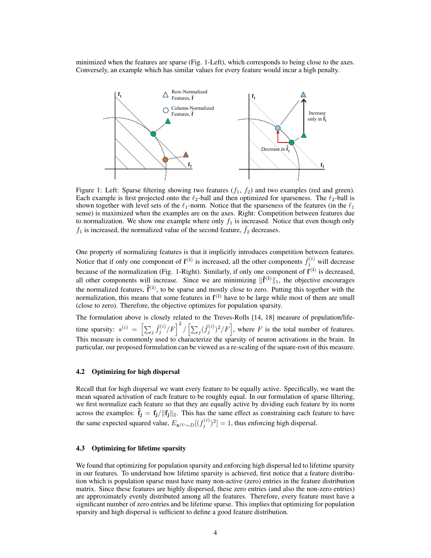minimized when the features are sparse (Fig. 1-Left), which corresponds to being close to the axes. Conversely, an example which has similar values for every feature would incur a high penalty.



Figure 1: Left: Sparse filtering showing two features  $(f_1, f_2)$  and two examples (red and green). Each example is first projected onto the  $\ell_2$ -ball and then optimized for sparseness. The  $\ell_2$ -ball is shown together with level sets of the  $\ell_1$ -norm. Notice that the sparseness of the features (in the  $\ell_1$ sense) is maximized when the examples are on the axes. Right: Competition between features due to normalization. We show one example where only  $f_1$  is increased. Notice that even though only  $f_1$  is increased, the normalized value of the second feature,  $\hat{f}_2$  decreases.

One property of normalizing features is that it implicitly introduces competition between features. Notice that if only one component of  $f^{(i)}$  is increased, all the other components  $\hat{f}^{(i)}_j$  will decrease because of the normalization (Fig. 1-Right). Similarly, if only one component of  $f^{(i)}$  is decreased, all other components will increase. Since we are minimizing  $\|\hat{f}^{(i)}\|_1$ , the objective encourages the normalized features,  $\hat{\mathbf{f}}^{(i)}$ , to be sparse and mostly close to zero. Putting this together with the normalization, this means that some features in  $f^{(i)}$  have to be large while most of them are small (close to zero). Therefore, the objective optimizes for population sparsity.

The formulation above is closely related to the Treves-Rolls [14, 18] measure of population/lifetime sparsity:  $s^{(i)} = \left[\sum_j \tilde{f}_j^{(i)}/F\right]^2 / \left[\sum_j (\tilde{f}_j^{(i)})^2 / F\right]$ , where F is the total number of features. This measure is commonly used to characterize the sparsity of neuron activations in the brain. In particular, our proposed formulation can be viewed as a re-scaling of the square-root of this measure.

# 4.2 Optimizing for high dispersal

Recall that for high dispersal we want every feature to be equally active. Specifically, we want the mean squared activation of each feature to be roughly equal. In our formulation of sparse filtering, we first normalize each feature so that they are equally active by dividing each feature by its norm across the examples:  $\mathbf{f}_j = \mathbf{f}_j / ||\mathbf{f}_j||_2$ . This has the same effect as constraining each feature to have the same expected squared value,  $E_{\mathbf{x}^{(i)} \sim D}[(f_j^{(i)})^2] = 1$ , thus enforcing high dispersal.

#### 4.3 Optimizing for lifetime sparsity

We found that optimizing for population sparsity and enforcing high dispersal led to lifetime sparsity in our features. To understand how lifetime sparsity is achieved, first notice that a feature distribution which is population sparse must have many non-active (zero) entries in the feature distribution matrix. Since these features are highly dispersed, these zero entries (and also the non-zero entries) are approximately evenly distributed among all the features. Therefore, every feature must have a significant number of zero entries and be lifetime sparse. This implies that optimizing for population sparsity and high dispersal is sufficient to define a good feature distribution.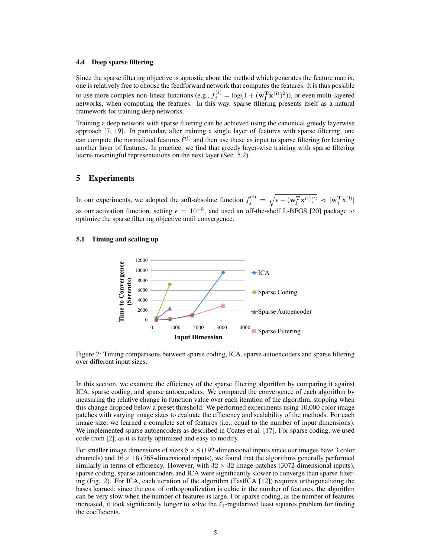#### 4.4 Deep sparse filtering

Since the sparse filtering objective is agnostic about the method which generates the feature matrix, one is relatively free to choose the feedforward network that computes the features. It is thus possible to use more complex non-linear functions (e.g.,  $f_j^{(i)} = \log(1 + (\mathbf{w_j^Tx^{(i)}})^2)$ ), or even multi-layered networks, when computing the features. In this way, sparse filtering presents itself as a natural framework for training deep networks.

Training a deep network with sparse filtering can be achieved using the canonical greedy layerwise approach [7, 19]. In particular, after training a single layer of features with sparse filtering, one can compute the normalized features  $\hat{f}^{(i)}$  and then use these as input to sparse filtering for learning another layer of features. In practice, we find that greedy layer-wise training with sparse filtering learns meaningful representations on the next layer (Sec. 5.2).

# 5 Experiments

In our experiments, we adopted the soft-absolute function  $f_j^{(i)} = \sqrt{\epsilon + (\mathbf{w}_j^T \mathbf{x}^{(i)})^2} \approx |\mathbf{w}_j^T \mathbf{x}^{(i)}|$ as our activation function, setting  $\epsilon = 10^{-8}$ , and used an off-the-shelf L-BFGS [20] package to optimize the sparse filtering objective until convergence.

# 5.1 Timing and scaling up



Figure 2: Timing comparisons between sparse coding, ICA, sparse autoencoders and sparse filtering over different input sizes.

In this section, we examine the efficiency of the sparse filtering algorithm by comparing it against ICA, sparse coding, and sparse autoencoders. We compared the convergence of each algorithm by measuring the relative change in function value over each iteration of the algorithm, stopping when this change dropped below a preset threshold. We performed experiments using 10,000 color image patches with varying image sizes to evaluate the efficiency and scalability of the methods. For each image size, we learned a complete set of features (i.e., equal to the number of input dimensions). We implemented sparse autoencoders as described in Coates et al. [17]. For sparse coding, we used code from [2], as it is fairly optimized and easy to modify.

For smaller image dimensions of sizes  $8 \times 8$  (192-dimensional inputs since our images have 3 color channels) and  $16 \times 16$  (768-dimensional inputs), we found that the algorithms generally performed similarly in terms of efficiency. However, with  $32 \times 32$  image patches (3072-dimensional inputs), sparse coding, sparse autoencoders and ICA were significantly slower to converge than sparse filtering (Fig. 2). For ICA, each iteration of the algorithm (FastICA [12]) requires orthogonalizing the bases learned; since the cost of orthogonalization is cubic in the number of features, the algorithm can be very slow when the number of features is large. For sparse coding, as the number of features increased, it took significantly longer to solve the  $\ell_1$ -regularized least squares problem for finding the coefficients.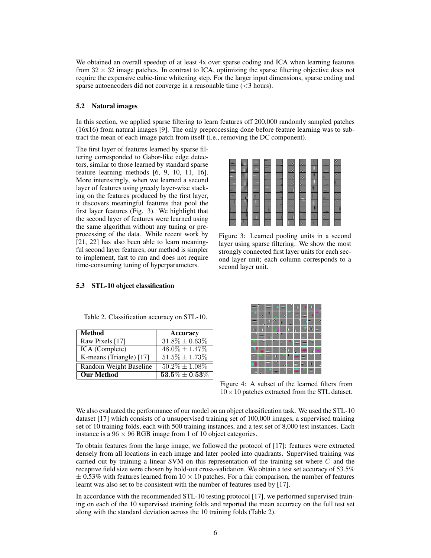We obtained an overall speedup of at least 4x over sparse coding and ICA when learning features from  $32 \times 32$  image patches. In contrast to ICA, optimizing the sparse filtering objective does not require the expensive cubic-time whitening step. For the larger input dimensions, sparse coding and sparse autoencoders did not converge in a reasonable time  $(<$ 3 hours).

#### 5.2 Natural images

In this section, we applied sparse filtering to learn features off 200,000 randomly sampled patches (16x16) from natural images [9]. The only preprocessing done before feature learning was to subtract the mean of each image patch from itself (i.e., removing the DC component).

The first layer of features learned by sparse filtering corresponded to Gabor-like edge detectors, similar to those learned by standard sparse feature learning methods [6, 9, 10, 11, 16]. More interestingly, when we learned a second layer of features using greedy layer-wise stacking on the features produced by the first layer, it discovers meaningful features that pool the first layer features (Fig. 3). We highlight that the second layer of features were learned using the same algorithm without any tuning or preprocessing of the data. While recent work by [21, 22] has also been able to learn meaningful second layer features, our method is simpler to implement, fast to run and does not require time-consuming tuning of hyperparameters.



Figure 3: Learned pooling units in a second layer using sparse filtering. We show the most strongly connected first layer units for each second layer unit; each column corresponds to a second layer unit.

| Method                  | Accuracy            |
|-------------------------|---------------------|
| Raw Pixels [17]         | $31.8\% \pm 0.63\%$ |
| <b>ICA</b> (Complete)   | $48.0\% \pm 1.47\%$ |
| K-means (Triangle) [17] | $51.5\% \pm 1.73\%$ |
| Random Weight Baseline  | $50.2\% \pm 1.08\%$ |
| <b>Our Method</b>       | $53.5\% \pm 0.53\%$ |

Figure 4: A subset of the learned filters from  $10 \times 10$  patches extracted from the STL dataset.

We also evaluated the performance of our model on an object classification task. We used the STL-10 dataset [17] which consists of a unsupervised training set of 100,000 images, a supervised training set of 10 training folds, each with 500 training instances, and a test set of 8,000 test instances. Each instance is a  $96 \times 96$  RGB image from 1 of 10 object categories.

To obtain features from the large image, we followed the protocol of [17]: features were extracted densely from all locations in each image and later pooled into quadrants. Supervised training was carried out by training a linear SVM on this representation of the training set where  $C$  and the receptive field size were chosen by hold-out cross-validation. We obtain a test set accuracy of 53.5%  $\pm$  0.53% with features learned from 10  $\times$  10 patches. For a fair comparison, the number of features learnt was also set to be consistent with the number of features used by [17].

In accordance with the recommended STL-10 testing protocol [17], we performed supervised training on each of the 10 supervised training folds and reported the mean accuracy on the full test set along with the standard deviation across the 10 training folds (Table 2).

Table 2. Classification accuracy on STL-10.

5.3 STL-10 object classification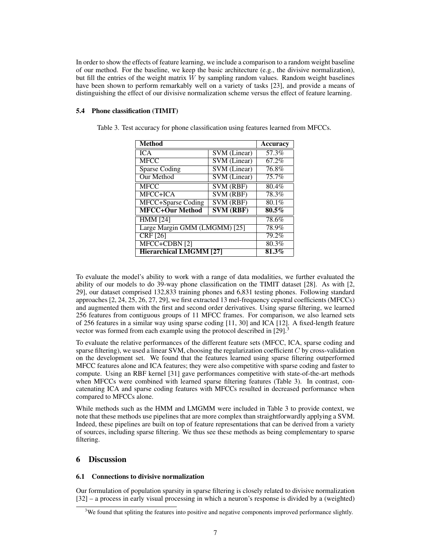In order to show the effects of feature learning, we include a comparison to a random weight baseline of our method. For the baseline, we keep the basic architecture (e.g., the divisive normalization), but fill the entries of the weight matrix  $\hat{W}$  by sampling random values. Random weight baselines have been shown to perform remarkably well on a variety of tasks [23], and provide a means of distinguishing the effect of our divisive normalization scheme versus the effect of feature learning.

### 5.4 Phone classification (TIMIT)

| <b>Method</b>                  |                               | <b>Accuracy</b> |
|--------------------------------|-------------------------------|-----------------|
| <b>ICA</b>                     | <b>SVM</b> (Linear)           | 57.3%           |
| <b>MFCC</b>                    | <b>SVM</b> (Linear)           | 67.2%           |
| <b>Sparse Coding</b>           | <b>SVM</b> (Linear)           | 76.8%           |
| Our Method                     | <b>SVM</b> (Linear)           | 75.7%           |
| <b>MFCC</b>                    | $\overline{\text{SVM (RBF)}}$ | 80.4%           |
| MFCC+ICA                       | $\overline{\text{SVM (RBF)}}$ | 78.3%           |
| MFCC+Sparse Coding             | $\overline{\text{SVM (RBF)}}$ | 80.1%           |
| <b>MFCC+Our Method</b>         | $\overline{\text{SVM (RBF)}}$ | $80.5\%$        |
| <b>HMM [24]</b>                | 78.6%                         |                 |
| Large Margin GMM (LMGMM) [25]  | 78.9%                         |                 |
| CRF[26]                        | 79.2%                         |                 |
| $MFCC+CDBN[2]$                 | 80.3%                         |                 |
| <b>Hierarchical LMGMM [27]</b> | 81.3%                         |                 |

Table 3. Test accuracy for phone classification using features learned from MFCCs.

To evaluate the model's ability to work with a range of data modalities, we further evaluated the ability of our models to do 39-way phone classification on the TIMIT dataset [28]. As with [2, 29], our dataset comprised 132,833 training phones and 6,831 testing phones. Following standard approaches [2, 24, 25, 26, 27, 29], we first extracted 13 mel-frequency cepstral coefficients (MFCCs) and augmented them with the first and second order derivatives. Using sparse filtering, we learned 256 features from contiguous groups of 11 MFCC frames. For comparison, we also learned sets of 256 features in a similar way using sparse coding [11, 30] and ICA [12]. A fixed-length feature vector was formed from each example using the protocol described in  $[29]$ .

To evaluate the relative performances of the different feature sets (MFCC, ICA, sparse coding and sparse filtering), we used a linear SVM, choosing the regularization coefficient  $C$  by cross-validation on the development set. We found that the features learned using sparse filtering outperformed MFCC features alone and ICA features; they were also competitive with sparse coding and faster to compute. Using an RBF kernel [31] gave performances competitive with state-of-the-art methods when MFCCs were combined with learned sparse filtering features (Table 3). In contrast, concatenating ICA and sparse coding features with MFCCs resulted in decreased performance when compared to MFCCs alone.

While methods such as the HMM and LMGMM were included in Table 3 to provide context, we note that these methods use pipelines that are more complex than straightforwardly applying a SVM. Indeed, these pipelines are built on top of feature representations that can be derived from a variety of sources, including sparse filtering. We thus see these methods as being complementary to sparse filtering.

# 6 Discussion

# 6.1 Connections to divisive normalization

Our formulation of population sparsity in sparse filtering is closely related to divisive normalization [32] – a process in early visual processing in which a neuron's response is divided by a (weighted)

<sup>&</sup>lt;sup>3</sup>We found that spliting the features into positive and negative components improved performance slightly.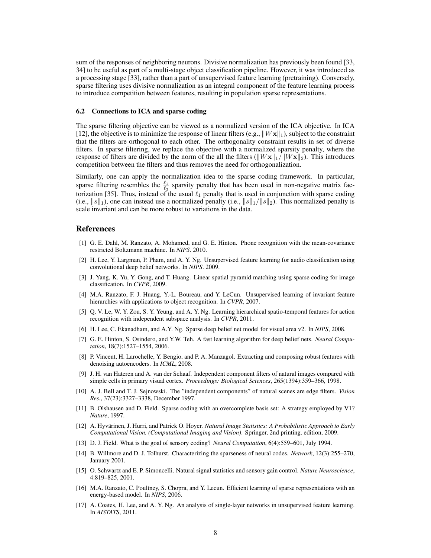sum of the responses of neighboring neurons. Divisive normalization has previously been found [33, 34] to be useful as part of a multi-stage object classification pipeline. However, it was introduced as a processing stage [33], rather than a part of unsupervised feature learning (pretraining). Conversely, sparse filtering uses divisive normalization as an integral component of the feature learning process to introduce competition between features, resulting in population sparse representations.

#### 6.2 Connections to ICA and sparse coding

The sparse filtering objective can be viewed as a normalized version of the ICA objective. In ICA [12], the objective is to minimize the response of linear filters (e.g.,  $||W\mathbf{x}||_1$ ), subject to the constraint that the filters are orthogonal to each other. The orthogonality constraint results in set of diverse filters. In sparse filtering, we replace the objective with a normalized sparsity penalty, where the response of filters are divided by the norm of the all the filters ( $\frac{||W\mathbf{x}||_1}{||W\mathbf{x}||_2}$ ). This introduces competition between the filters and thus removes the need for orthogonalization.

Similarly, one can apply the normalization idea to the sparse coding framework. In particular, sparse filtering resembles the  $\frac{\ell_1}{\ell_2}$  sparsity penalty that has been used in non-negative matrix factorization [35]. Thus, instead of the usual  $\ell_1$  penalty that is used in conjunction with sparse coding (i.e.,  $||s||_1$ ), one can instead use a normalized penalty (i.e.,  $||s||_1/||s||_2$ ). This normalized penalty is scale invariant and can be more robust to variations in the data.

# References

- [1] G. E. Dahl, M. Ranzato, A. Mohamed, and G. E. Hinton. Phone recognition with the mean-covariance restricted Boltzmann machine. In *NIPS*. 2010.
- [2] H. Lee, Y. Largman, P. Pham, and A. Y. Ng. Unsupervised feature learning for audio classification using convolutional deep belief networks. In *NIPS*. 2009.
- [3] J. Yang, K. Yu, Y. Gong, and T. Huang. Linear spatial pyramid matching using sparse coding for image classification. In *CVPR*, 2009.
- [4] M.A. Ranzato, F. J. Huang, Y.-L. Boureau, and Y. LeCun. Unsupervised learning of invariant feature hierarchies with applications to object recognition. In *CVPR*, 2007.
- [5] Q. V. Le, W. Y. Zou, S. Y. Yeung, and A. Y. Ng. Learning hierarchical spatio-temporal features for action recognition with independent subspace analysis. In *CVPR*, 2011.
- [6] H. Lee, C. Ekanadham, and A.Y. Ng. Sparse deep belief net model for visual area v2. In *NIPS*, 2008.
- [7] G. E. Hinton, S. Osindero, and Y.W. Teh. A fast learning algorithm for deep belief nets. *Neural Computation*, 18(7):1527–1554, 2006.
- [8] P. Vincent, H. Larochelle, Y. Bengio, and P. A. Manzagol. Extracting and composing robust features with denoising autoencoders. In *ICML*, 2008.
- [9] J. H. van Hateren and A. van der Schaaf. Independent component filters of natural images compared with simple cells in primary visual cortex. *Proceedings: Biological Sciences*, 265(1394):359–366, 1998.
- [10] A. J. Bell and T. J. Sejnowski. The "independent components" of natural scenes are edge filters. *Vision Res.*, 37(23):3327–3338, December 1997.
- [11] B. Olshausen and D. Field. Sparse coding with an overcomplete basis set: A strategy employed by V1? *Nature*, 1997.
- [12] A. Hyvärinen, J. Hurri, and Patrick O. Hoyer. *Natural Image Statistics: A Probabilistic Approach to Early Computational Vision. (Computational Imaging and Vision)*. Springer, 2nd printing. edition, 2009.
- [13] D. J. Field. What is the goal of sensory coding? *Neural Computation*, 6(4):559–601, July 1994.
- [14] B. Willmore and D. J. Tolhurst. Characterizing the sparseness of neural codes. *Network*, 12(3):255–270, January 2001.
- [15] O. Schwartz and E. P. Simoncelli. Natural signal statistics and sensory gain control. *Nature Neuroscience*, 4:819–825, 2001.
- [16] M.A. Ranzato, C. Poultney, S. Chopra, and Y. Lecun. Efficient learning of sparse representations with an energy-based model. In *NIPS*, 2006.
- [17] A. Coates, H. Lee, and A. Y. Ng. An analysis of single-layer networks in unsupervised feature learning. In *AISTATS*, 2011.